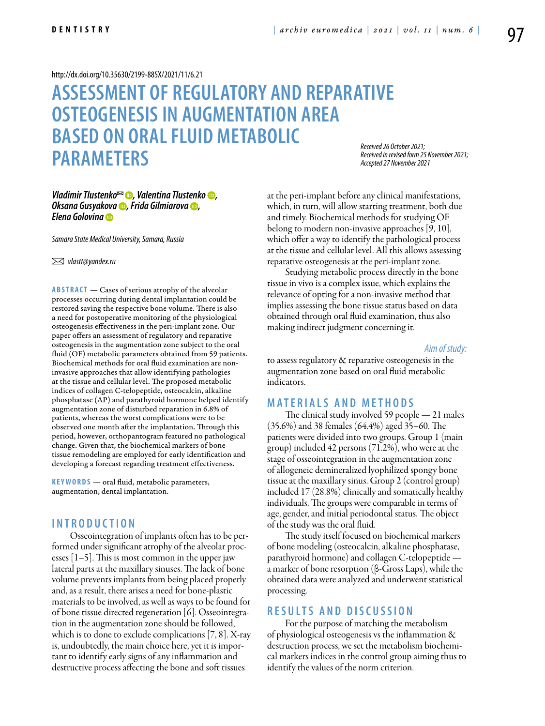<http://dx.doi.org/10.35630/2199-885X/2021/11/6.21>

# **ASSESSMENT OF REGULATORY AND REPARATIVE OSTEOGENESISIN AUGMENTATION AREA BASED ON ORAL FLUID METABOLIC PARAMETERS**

*Received 26 October 2021; Received in revised form 25 November 2021; Accepted 27 November 2021*

## *[Vladimir Tlustenko](https://orcid.org/0000-0002-7429-9135)*<sup>∞</sup> **•**, *[Valentina Tlustenko](https://orcid.org/0000-0002-2756-5277)* •, *[Oksana Gusyakova](https://orcid.org/0000-0002-5619-4583) , [Frida Gilmiarova](https://orcid.org/0000-0001-5992-3609) , [Elena Golovina](https://orcid.org/0000-0001-5100-7630)*

*Samara State Medical University, Samara, Russia*

 *vlastt@yandex.ru*

**ABSTRACT** — Cases of serious atrophy of the alveolar processes occurring during dental implantation could be restored saving the respective bone volume. There is also a need for postoperative monitoring of the physiological osteogenesis effectiveness in the peri-implant zone. Our paper offers an assessment of regulatory and reparative osteogenesis in the augmentation zone subject to the oral fluid (OF) metabolic parameters obtained from 59 patients. Biochemical methods for oral fluid examination are noninvasive approaches that allow identifying pathologies at the tissue and cellular level. The proposed metabolic indices of collagen C-telopeptide, osteocalcin, alkaline phosphatase (AP) and parathyroid hormone helped identify augmentation zone of disturbed reparation in 6.8% of patients, whereas the worst complications were to be observed one month after the implantation. Through this period, however, orthopantogram featured no pathological change. Given that, the biochemical markers of bone tissue remodeling are employed for early identification and developing a forecast regarding treatment effectiveness.

KEYWORDS — oral fluid, metabolic parameters, augmentation, dental implantation.

## **I n t r o d uct i o n**

Osseointegration of implants often has to be performed under significant atrophy of the alveolar processes [1–5]. This is most common in the upper jaw lateral parts at the maxillary sinuses. The lack of bone volume prevents implants from being placed properly and, as a result, there arises a need for bone-plastic materials to be involved, as well as ways to be found for of bone tissue directed regeneration [6]. Osseointegration in the augmentation zone should be followed, which is to done to exclude complications [7, 8]. X-ray is, undoubtedly, the main choice here, yet it is important to identify early signs of any inflammation and destructive process affecting the bone and soft tissues

at the peri-implant before any clinical manifestations, which, in turn, will allow starting treatment, both due and timely. Biochemical methods for studying OF belong to modern non-invasive approaches [9, 10], which offer a way to identify the pathological process at the tissue and cellular level. All this allows assessing reparative osteogenesis at the peri-implant zone.

Studying metabolic process directly in the bone tissue in vivo is a complex issue, which explains the relevance of opting for a non-invasive method that implies assessing the bone tissue status based on data obtained through oral fluid examination, thus also making indirect judgment concerning it.

*Aim of study:* 

to assess regulatory & reparative osteogenesis in the augmentation zone based on oral fluid metabolic indicators.

### **MATERIALS AND MET H ODS**

The clinical study involved 59 people — 21 males (35.6%) and 38 females (64.4%) aged 35–60. The patients were divided into two groups. Group 1 (main group) included 42 persons (71.2%), who were at the stage of osseointegration in the augmentation zone of allogeneic demineralized lyophilized spongy bone tissue at the maxillary sinus. Group 2 (control group) included 17 (28.8%) clinically and somatically healthy individuals. The groups were comparable in terms of age, gender, and initial periodontal status. The object of the study was the oral fluid.

The study itself focused on biochemical markers of bone modeling (osteocalcin, alkaline phosphatase, parathyroid hormone) and collagen C-telopeptide a marker of bone resorption (β-Gross Laps), while the obtained data were analyzed and underwent statistical processing.

## **RES U LTS AND DISC U SSION**

For the purpose of matching the metabolism of physiological osteogenesis vs the inflammation & destruction process, we set the metabolism biochemical markers indices in the control group aiming thus to identify the values of the norm criterion.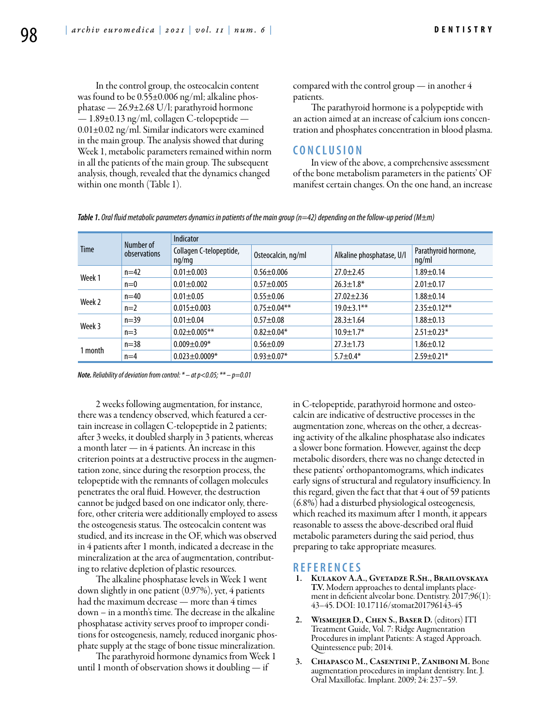In the control group, the osteocalcin content was found to be 0.55±0.006 ng/ml; alkaline phosphatase — 26.9±2.68 U/l; parathyroid hormone — 1.89±0.13 ng/ml, collagen C-telopeptide — 0.01±0.02 ng/ml. Similar indicators were examined in the main group. The analysis showed that during Week 1, metabolic parameters remained within norm in all the patients of the main group. The subsequent analysis, though, revealed that the dynamics changed within one month (Table 1).

compared with the control group — in another 4 patients.

The parathyroid hormone is a polypeptide with an action aimed at an increase of calcium ions concentration and phosphates concentration in blood plasma.

## **C ON CL U SION**

In view of the above, a comprehensive assessment of the bone metabolism parameters in the patients' OF manifest certain changes. On the one hand, an increase

*Table 1. Oral fluid metabolic parameters dynamics in patients of the main group (n=42) depending on the follow-up period (M±m)*

| <b>Time</b> | Number of<br>observations | Indicator                        |                    |                           |                               |
|-------------|---------------------------|----------------------------------|--------------------|---------------------------|-------------------------------|
|             |                           | Collagen C-telopeptide,<br>ng/mg | Osteocalcin, ng/ml | Alkaline phosphatase, U/I | Parathyroid hormone,<br>ng/ml |
| Week 1      | $n=42$                    | $0.01 \pm 0.003$                 | $0.56 + 0.006$     | $27.0 \pm 2.45$           | $1.89 \pm 0.14$               |
|             | $n=0$                     | $0.01 \pm 0.002$                 | $0.57 + 0.005$     | $26.3 \pm 1.8^*$          | $2.01 \pm 0.17$               |
| Week 2      | $n=40$                    | $0.01 \pm 0.05$                  | $0.55 \pm 0.06$    | $27.02 \pm 2.36$          | $1.88 + 0.14$                 |
|             | $n=2$                     | $0.015 + 0.003$                  | $0.75 \pm 0.04$ ** | $19.0 \pm 3.1$ **         | $2.35 \pm 0.12$ **            |
| Week 3      | $n=39$                    | $0.01 \pm 0.04$                  | $0.57 + 0.08$      | $28.3 \pm 1.64$           | $1.88 \pm 0.13$               |
|             | $n=3$                     | $0.02 \pm 0.005$ **              | $0.82 \pm 0.04*$   | $10.9 \pm 1.7*$           | $2.51 \pm 0.23*$              |
| 1 month     | $n=38$                    | $0.009 + 0.09*$                  | $0.56 \pm 0.09$    | $27.3 \pm 1.73$           | $1.86 \pm 0.12$               |
|             | $n=4$                     | $0.023 \pm 0.0009*$              | $0.93 \pm 0.07*$   | $5.7 \pm 0.4*$            | $2.59 \pm 0.21*$              |

*Note. Reliability of deviation from control: \* – at р<0.05; \*\* – р=0.01*

2 weeks following augmentation, for instance, there was a tendency observed, which featured a certain increase in collagen C-telopeptide in 2 patients; after 3 weeks, it doubled sharply in 3 patients, whereas a month later — in 4 patients. An increase in this criterion points at a destructive process in the augmentation zone, since during the resorption process, the telopeptide with the remnants of collagen molecules penetrates the oral fluid. However, the destruction cannot be judged based on one indicator only, therefore, other criteria were additionally employed to assess the osteogenesis status. The osteocalcin content was studied, and its increase in the OF, which was observed in 4 patients after 1 month, indicated a decrease in the mineralization at the area of augmentation, contributing to relative depletion of plastic resources.

The alkaline phosphatase levels in Week 1 went down slightly in one patient (0.97%), yet, 4 patients had the maximum decrease — more than 4 times down – in a month's time. The decrease in the alkaline phosphatase activity serves proof to improper conditions for osteogenesis, namely, reduced inorganic phosphate supply at the stage of bone tissue mineralization.

The parathyroid hormone dynamics from Week 1 until 1 month of observation shows it doubling — if

in C-telopeptide, parathyroid hormone and osteocalcin are indicative of destructive processes in the augmentation zone, whereas on the other, a decreasing activity of the alkaline phosphatase also indicates a slower bone formation. However, against the deep metabolic disorders, there was no change detected in these patients' orthopantomograms, which indicates early signs of structural and regulatory insufficiency. In this regard, given the fact that that 4 out of 59 patients (6.8%) had a disturbed physiological osteogenesis, which reached its maximum after 1 month, it appears reasonable to assess the above-described oral fluid metabolic parameters during the said period, thus preparing to take appropriate measures.

#### **REFEREN CES**

- 1. Kulakov А.А., Gvetadze R.Sh., Brailovskaya T.V. Modern approaches to dental implants placement in deficient alveolar bone. Dentistry. 2017;96(1): 43–45. DOI: 10.17116/stomat201796143-45
- 2. WISMEIJER D., CHEN S., BASER D. (editors) ITI Treatment Guide, Vol. 7: Ridge Augmentation Procedures in implant Patients: A staged Approach. Quintessence pub; 2014.
- 3. Chiapasco M., Casentini P., Zaniboni M. Bone augmentation procedures in implant dentistry. Int. J. Oral Maxillofac. Implant. 2009; 24: 237–59.